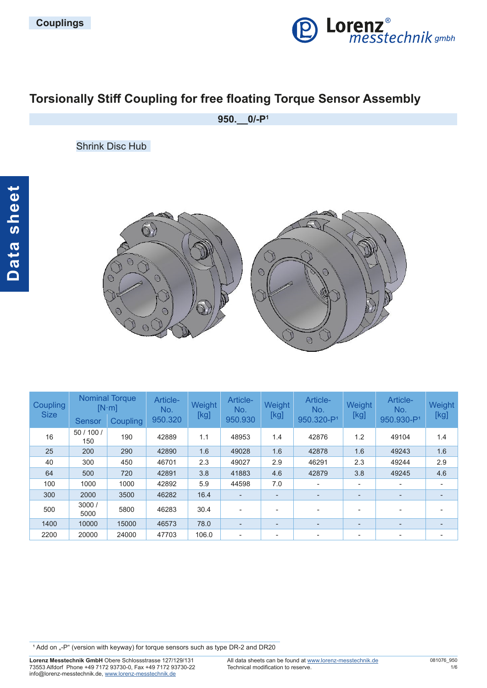

# **Torsionally Stiff Coupling for free floating Torque Sensor Assembly**

**950.\_\_0/-P1**

Shrink Disc Hub



| <b>Coupling</b><br><b>Size</b> | <b>Nominal Torque</b><br>$[N \cdot m]$ |          | Article-<br>No. | Weight | Article-<br>No. | Weight         | Article-<br>No.          | Weight                   | Article-<br>No.          | Weight |
|--------------------------------|----------------------------------------|----------|-----------------|--------|-----------------|----------------|--------------------------|--------------------------|--------------------------|--------|
|                                | <b>Sensor</b>                          | Coupling | 950.320         | [kg]   | 950.930         | [kg]           | 950.320-P <sup>1</sup>   | [kg]                     | 950.930-P <sup>1</sup>   | [kg]   |
| 16                             | 50/100/<br>150                         | 190      | 42889           | 1.1    | 48953           | 1.4            | 42876                    | 1.2                      | 49104                    | 1.4    |
| 25                             | 200                                    | 290      | 42890           | 1.6    | 49028           | 1.6            | 42878                    | 1.6                      | 49243                    | 1.6    |
| 40                             | 300                                    | 450      | 46701           | 2.3    | 49027           | 2.9            | 46291                    | 2.3                      | 49244                    | 2.9    |
| 64                             | 500                                    | 720      | 42891           | 3.8    | 41883           | 4.6            | 42879                    | 3.8                      | 49245                    | 4.6    |
| 100                            | 1000                                   | 1000     | 42892           | 5.9    | 44598           | 7.0            | ٠                        | $\overline{\phantom{a}}$ | ٠                        |        |
| 300                            | 2000                                   | 3500     | 46282           | 16.4   | ٠               | $\overline{a}$ | -                        | -                        | $\overline{\phantom{a}}$ | ٠      |
| 500                            | 3000/<br>5000                          | 5800     | 46283           | 30.4   |                 | -              | ۰                        | ۰                        | $\overline{\phantom{a}}$ |        |
| 1400                           | 10000                                  | 15000    | 46573           | 78.0   |                 | ٠              | -                        | -                        | $\overline{\phantom{m}}$ |        |
| 2200                           | 20000                                  | 24000    | 47703           | 106.0  |                 | ۰              | $\overline{\phantom{0}}$ | ۰                        | $\overline{\phantom{a}}$ |        |

<sup>1</sup> Add on "-P" (version with keyway) for torque sensors such as type DR-2 and DR20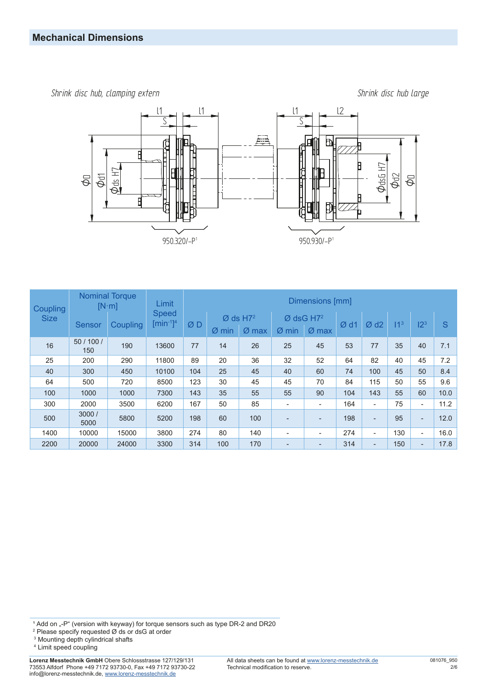*Shrink disc hub, clamping extern Shrink disc hub large*



| Coupling<br><b>Size</b> | <b>Nominal Torque</b><br>$[N \cdot m]$ |          | Limit                                            | Dimensions [mm] |         |                                             |         |                                    |     |                          |                 |                          |      |
|-------------------------|----------------------------------------|----------|--------------------------------------------------|-----------------|---------|---------------------------------------------|---------|------------------------------------|-----|--------------------------|-----------------|--------------------------|------|
|                         | <b>Sensor</b>                          | Coupling | <b>Speed</b><br>$\left[\text{min}^{-1}\right]^4$ | ØD              | $Ø$ min | $\varnothing$ ds H7 <sup>2</sup><br>$Ø$ max | $Ø$ min | $Ø$ dsG H7 <sup>2</sup><br>$Ø$ max | Ød1 | Ød2                      | 11 <sup>3</sup> | 12 <sup>3</sup>          | S    |
| 16                      | 50/100/<br>150                         | 190      | 13600                                            | 77              | 14      | 26                                          | 25      | 45                                 | 53  | 77                       | 35              | 40                       | 7.1  |
| 25                      | 200                                    | 290      | 11800                                            | 89              | 20      | 36                                          | 32      | 52                                 | 64  | 82                       | 40              | 45                       | 7.2  |
| 40                      | 300                                    | 450      | 10100                                            | 104             | 25      | 45                                          | 40      | 60                                 | 74  | 100                      | 45              | 50                       | 8.4  |
| 64                      | 500                                    | 720      | 8500                                             | 123             | 30      | 45                                          | 45      | 70                                 | 84  | 115                      | 50              | 55                       | 9.6  |
| 100                     | 1000                                   | 1000     | 7300                                             | 143             | 35      | 55                                          | 55      | 90                                 | 104 | 143                      | 55              | 60                       | 10.0 |
| 300                     | 2000                                   | 3500     | 6200                                             | 167             | 50      | 85                                          | ٠       | ٠                                  | 164 | $\overline{\phantom{a}}$ | 75              | $\blacksquare$           | 11.2 |
| 500                     | 3000/<br>5000                          | 5800     | 5200                                             | 198             | 60      | 100                                         | ٠       | -                                  | 198 | $\overline{\phantom{a}}$ | 95              | $\overline{\phantom{a}}$ | 12.0 |
| 1400                    | 10000                                  | 15000    | 3800                                             | 274             | 80      | 140                                         | ٠       | $\overline{\phantom{0}}$           | 274 | $\overline{\phantom{a}}$ | 130             | $\blacksquare$           | 16.0 |
| 2200                    | 20000                                  | 24000    | 3300                                             | 314             | 100     | 170                                         | -       |                                    | 314 | $\overline{\phantom{a}}$ | 150             | $\overline{\phantom{a}}$ | 17.8 |

1 Add on "-P" (version with keyway) for torque sensors such as type DR-2 and DR20<br><sup>2</sup> Please specify requested Ø ds or dsG at order

<sup>3</sup> Mounting depth cylindrical shafts

4 Limit speed coupling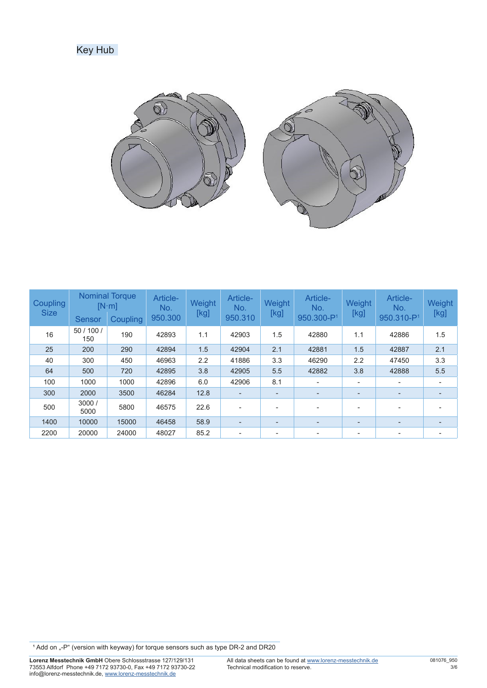## Key Hub



| <b>Coupling</b><br><b>Size</b> | <b>Sensor</b>  | <b>Nominal Torque</b><br>$[N \cdot m]$<br><b>Coupling</b> | Article-<br>No.<br>950.300 | Weight<br>[kg] | Article-<br>No.<br>950.310 | Weight<br>[kg] | Article-<br>No.<br>950.300-P <sup>1</sup> | Weight<br>[kg]           | Article-<br>No.<br>950.310-P <sup>1</sup> | Weight<br>[kg] |
|--------------------------------|----------------|-----------------------------------------------------------|----------------------------|----------------|----------------------------|----------------|-------------------------------------------|--------------------------|-------------------------------------------|----------------|
| 16                             | 50/100/<br>150 | 190                                                       | 42893                      | 1.1            | 42903                      | 1.5            | 42880                                     | 1.1                      | 42886                                     | 1.5            |
| 25                             | 200            | 290                                                       | 42894                      | 1.5            | 42904                      | 2.1            | 42881                                     | 1.5                      | 42887                                     | 2.1            |
| 40                             | 300            | 450                                                       | 46963                      | 2.2            | 41886                      | 3.3            | 46290                                     | 2.2                      | 47450                                     | 3.3            |
| 64                             | 500            | 720                                                       | 42895                      | 3.8            | 42905                      | 5.5            | 42882                                     | 3.8                      | 42888                                     | 5.5            |
| 100                            | 1000           | 1000                                                      | 42896                      | 6.0            | 42906                      | 8.1            | ۰                                         | $\overline{\phantom{a}}$ | $\overline{a}$                            |                |
| 300                            | 2000           | 3500                                                      | 46284                      | 12.8           |                            | ۰              | -                                         | $\overline{\phantom{a}}$ | $\overline{\phantom{a}}$                  |                |
| 500                            | 3000 /<br>5000 | 5800                                                      | 46575                      | 22.6           | $\overline{\phantom{a}}$   | ۰              | ۰                                         | $\overline{\phantom{a}}$ | $\overline{\phantom{a}}$                  |                |
| 1400                           | 10000          | 15000                                                     | 46458                      | 58.9           | $\overline{\phantom{a}}$   | ۰              | ٠                                         | $\overline{\phantom{0}}$ | $\overline{\phantom{a}}$                  |                |
| 2200                           | 20000          | 24000                                                     | 48027                      | 85.2           | $\overline{\phantom{a}}$   | ۰              | ۰                                         | $\overline{\phantom{a}}$ |                                           |                |

<sup>1</sup> Add on "-P" (version with keyway) for torque sensors such as type DR-2 and DR20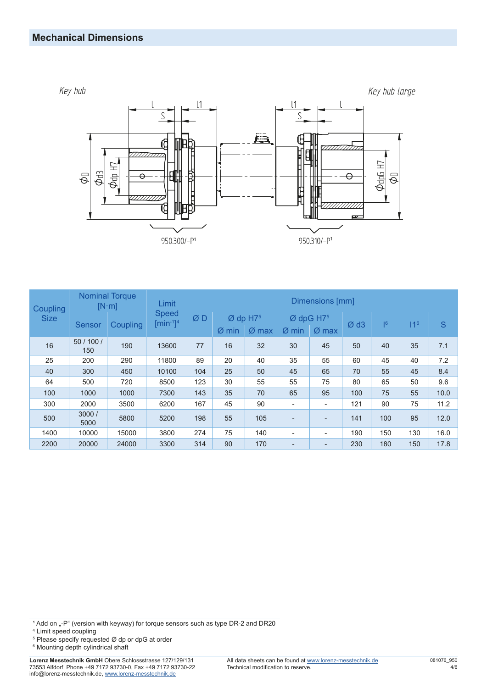### **Mechanical Dimensions**



| Coupling<br><b>Size</b> | <b>Nominal Torque</b><br>$[N \cdot m]$ |                 | Limit                          | Dimensions [mm] |          |                                   |                          |                                              |     |     |                 |      |  |
|-------------------------|----------------------------------------|-----------------|--------------------------------|-----------------|----------|-----------------------------------|--------------------------|----------------------------------------------|-----|-----|-----------------|------|--|
|                         | <b>Sensor</b>                          | <b>Coupling</b> | <b>Speed</b><br>$[min^{-1}]^4$ | ØD              | Ø<br>min | $Ø$ dp H7 <sup>5</sup><br>$Ø$ max | $\varnothing$ min        | $Ø$ dpG H7 <sup>5</sup><br>$\varnothing$ max | Ød3 | 6   | 11 <sup>6</sup> | S    |  |
| 16                      | 50 / 100 /<br>150                      | 190             | 13600                          | 77              | 16       | 32                                | 30                       | 45                                           | 50  | 40  | 35              | 7.1  |  |
| 25                      | 200                                    | 290             | 11800                          | 89              | 20       | 40                                | 35                       | 55                                           | 60  | 45  | 40              | 7.2  |  |
| 40                      | 300                                    | 450             | 10100                          | 104             | 25       | 50                                | 45                       | 65                                           | 70  | 55  | 45              | 8.4  |  |
| 64                      | 500                                    | 720             | 8500                           | 123             | 30       | 55                                | 55                       | 75                                           | 80  | 65  | 50              | 9.6  |  |
| 100                     | 1000                                   | 1000            | 7300                           | 143             | 35       | 70                                | 65                       | 95                                           | 100 | 75  | 55              | 10.0 |  |
| 300                     | 2000                                   | 3500            | 6200                           | 167             | 45       | 90                                | ٠                        | ٠                                            | 121 | 90  | 75              | 11.2 |  |
| 500                     | 3000/<br>5000                          | 5800            | 5200                           | 198             | 55       | 105                               | $\overline{\phantom{0}}$ | $\overline{\phantom{0}}$                     | 141 | 100 | 95              | 12.0 |  |
| 1400                    | 10000                                  | 15000           | 3800                           | 274             | 75       | 140                               | ٠                        | ۰                                            | 190 | 150 | 130             | 16.0 |  |
| 2200                    | 20000                                  | 24000           | 3300                           | 314             | 90       | 170                               | $\overline{\phantom{0}}$ | $\overline{\phantom{0}}$                     | 230 | 180 | 150             | 17.8 |  |

1 Add on "-P" (version with keyway) for torque sensors such as type DR-2 and DR20<br><sup>4</sup> Limit speed coupling<br><sup>5</sup> Please specify requested Ø dp or dpG at order

 $^{\rm 6}$  Mounting depth cylindrical shaft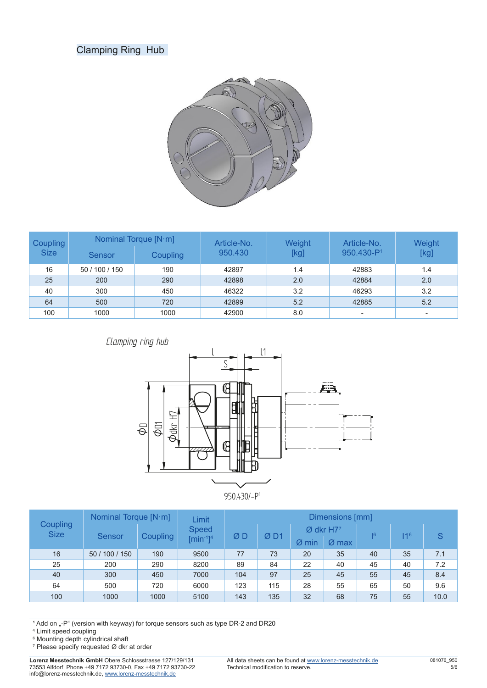## Clamping Ring Hub



| Coupling<br><b>Size</b> | <b>Sensor</b>  | Nominal Torque [N·m]<br>Article-No.<br>950.430<br><b>Coupling</b> |       | Weight<br>[kg] | Article-No.<br>950.430-P <sup>1</sup> | Weight<br>[kg] |  |
|-------------------------|----------------|-------------------------------------------------------------------|-------|----------------|---------------------------------------|----------------|--|
| 16                      | 50 / 100 / 150 | 190                                                               | 42897 | 1.4            | 42883                                 | 1.4            |  |
| 25                      | 200            | 290                                                               | 42898 | 2.0            | 42884                                 | 2.0            |  |
| 40                      | 300            | 450                                                               | 46322 | 3.2            | 46293                                 | 3.2            |  |
| 64                      | 500            | 720                                                               | 42899 | 5.2            | 42885                                 | 5.2            |  |
| 100                     | 1000           | 1000                                                              | 42900 | 8.0            | ۰                                     |                |  |





| <b>Coupling</b><br><b>Size</b> | Nominal Torque [N·m] |          | Limit                          | Dimensions [mm] |     |                         |         |    |                 |      |  |  |
|--------------------------------|----------------------|----------|--------------------------------|-----------------|-----|-------------------------|---------|----|-----------------|------|--|--|
|                                | <b>Sensor</b>        | Coupling | <b>Speed</b><br>$[min^{-1}]^4$ | ØΒ              | ØD1 | $Ø$ dkr H7 <sup>7</sup> |         | 6  | 11 <sup>6</sup> | S    |  |  |
|                                |                      |          |                                |                 |     | $\varnothing$ min       | $Ø$ max |    |                 |      |  |  |
| 16                             | 50 / 100 / 150       | 190      | 9500                           | 77              | 73  | 20                      | 35      | 40 | 35              | 7.1  |  |  |
| 25                             | 200                  | 290      | 8200                           | 89              | 84  | 22                      | 40      | 45 | 40              | 7.2  |  |  |
| 40                             | 300                  | 450      | 7000                           | 104             | 97  | 25                      | 45      | 55 | 45              | 8.4  |  |  |
| 64                             | 500                  | 720      | 6000                           | 123             | 115 | 28                      | 55      | 65 | 50              | 9.6  |  |  |
| 100                            | 1000                 | 1000     | 5100                           | 143             | 135 | 32                      | 68      | 75 | 55              | 10.0 |  |  |

1 Add on "-P" (version with keyway) for torque sensors such as type DR-2 and DR20<br><sup>4</sup> Limit speed coupling<br><sup>6</sup> Mounting depth cylindrical shaft

 $^7$  Please specify requested Ø dkr at order

**Lorenz Messtechnik GmbH** Obere Schlossstrasse 127/129/131 73553 Alfdorf Phone +49 7172 93730-0, Fax +49 7172 93730-22 info@lorenz-messtechnik.de, [www.lorenz-messtechnik.de](https://www.lorenz-messtechnik.de)